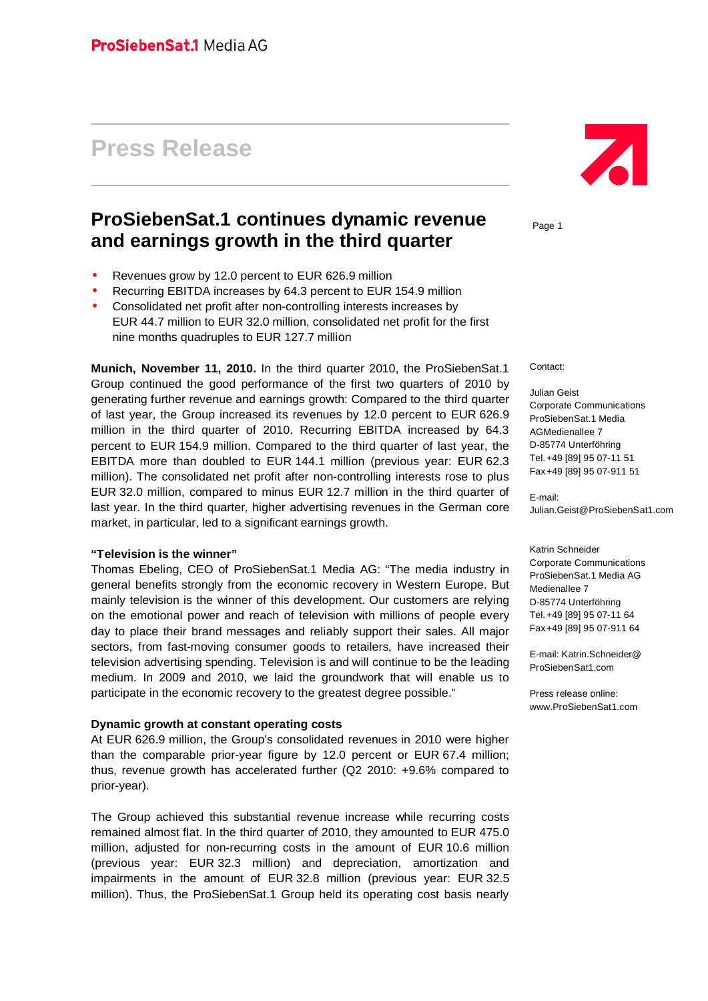# **Press Release**

# **ProSiebenSat.1 continues dynamic revenue and earnings growth in the third quarter**

- Revenues grow by 12.0 percent to EUR 626.9 million
- Recurring EBITDA increases by 64.3 percent to EUR 154.9 million
- Consolidated net profit after non-controlling interests increases by EUR 44.7 million to EUR 32.0 million, consolidated net profit for the first nine months quadruples to EUR 127.7 million

**Munich, November 11, 2010.** In the third quarter 2010, the ProSiebenSat.1 Group continued the good performance of the first two quarters of 2010 by generating further revenue and earnings growth: Compared to the third quarter of last year, the Group increased its revenues by 12.0 percent to EUR 626.9 million in the third quarter of 2010. Recurring EBITDA increased by 64.3 percent to EUR 154.9 million. Compared to the third quarter of last year, the EBITDA more than doubled to EUR 144.1 million (previous year: EUR 62.3 million). The consolidated net profit after non-controlling interests rose to plus EUR 32.0 million, compared to minus EUR 12.7 million in the third quarter of last year. In the third quarter, higher advertising revenues in the German core market, in particular, led to a significant earnings growth.

#### **"Television is the winner"**

Thomas Ebeling, CEO of ProSiebenSat.1 Media AG: "The media industry in general benefits strongly from the economic recovery in Western Europe. But mainly television is the winner of this development. Our customers are relying on the emotional power and reach of television with millions of people every day to place their brand messages and reliably support their sales. All major sectors, from fast-moving consumer goods to retailers, have increased their television advertising spending. Television is and will continue to be the leading medium. In 2009 and 2010, we laid the groundwork that will enable us to participate in the economic recovery to the greatest degree possible."

#### **Dynamic growth at constant operating costs**

At EUR 626.9 million, the Group's consolidated revenues in 2010 were higher than the comparable prior-year figure by 12.0 percent or EUR 67.4 million; thus, revenue growth has accelerated further (Q2 2010: +9.6% compared to prior-year).

The Group achieved this substantial revenue increase while recurring costs remained almost flat. In the third quarter of 2010, they amounted to EUR 475.0 million, adjusted for non-recurring costs in the amount of EUR 10.6 million (previous year: EUR 32.3 million) and depreciation, amortization and impairments in the amount of EUR 32.8 million (previous year: EUR 32.5 million). Thus, the ProSiebenSat.1 Group held its operating cost basis nearly



Page 1

Contact:

Julian Geist Corporate Communications ProSiebenSat.1 Media AGMedienallee 7 D-85774 Unterföhring Tel.+49 [89] 95 07-11 51 Fax+49 [89] 95 07-911 51

E-mail: [Julian.Geist@ProSiebenSat1.com](mailto:Julian.Geist@ProSiebenSat1.com)

Katrin Schneider Corporate Communications ProSiebenSat.1 Media AG Medienallee 7 D-85774 Unterföhring Tel.+49 [89] 95 07-11 64 Fax+49 [89] 95 07-911 64

E-mail: Katrin.Schneider@ ProSiebenSat1.com

Press release online: [www.ProSiebenSat1.com](http://www.ProSiebenSat1.com)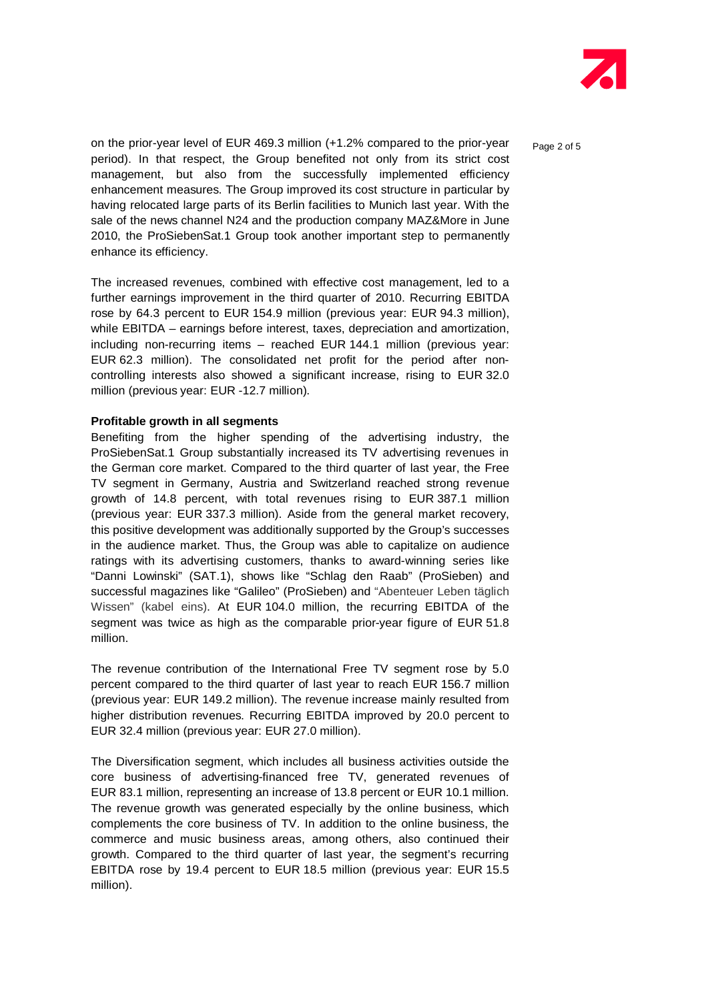

on the prior-year level of EUR 469.3 million  $(+1.2\%$  compared to the prior-year  $P_{\text{aqe 2 of 5}}$ period). In that respect, the Group benefited not only from its strict cost management, but also from the successfully implemented efficiency enhancement measures. The Group improved its cost structure in particular by having relocated large parts of its Berlin facilities to Munich last year. With the sale of the news channel N24 and the production company MAZ&More in June 2010, the ProSiebenSat.1 Group took another important step to permanently enhance its efficiency.

The increased revenues, combined with effective cost management, led to a further earnings improvement in the third quarter of 2010. Recurring EBITDA rose by 64.3 percent to EUR 154.9 million (previous year: EUR 94.3 million), while EBITDA – earnings before interest, taxes, depreciation and amortization, including non-recurring items – reached EUR 144.1 million (previous year: EUR 62.3 million). The consolidated net profit for the period after non controlling interests also showed a significant increase, rising to EUR 32.0 million (previous year: EUR -12.7 million).

#### **Profitable growth in all segments**

Benefiting from the higher spending of the advertising industry, the ProSiebenSat.1 Group substantially increased its TV advertising revenues in the German core market. Compared to the third quarter of last year, the Free TV segment in Germany, Austria and Switzerland reached strong revenue growth of 14.8 percent, with total revenues rising to EUR 387.1 million (previous year: EUR 337.3 million). Aside from the general market recovery, this positive development was additionally supported by the Group's successes in the audience market. Thus, the Group was able to capitalize on audience ratings with its advertising customers, thanks to award-winning series like "Danni Lowinski" (SAT.1), shows like "Schlag den Raab" (ProSieben) and successful magazines like "Galileo" (ProSieben) and "Abenteuer Leben täglich Wissen" (kabel eins). At EUR 104.0 million, the recurring EBITDA of the segment was twice as high as the comparable prior-year figure of EUR 51.8 million.

The revenue contribution of the International Free TV segment rose by 5.0 percent compared to the third quarter of last year to reach EUR 156.7 million (previous year: EUR 149.2 million). The revenue increase mainly resulted from higher distribution revenues. Recurring EBITDA improved by 20.0 percent to EUR 32.4 million (previous year: EUR 27.0 million).

The Diversification segment, which includes all business activities outside the core business of advertising-financed free TV, generated revenues of EUR 83.1 million, representing an increase of 13.8 percent or EUR 10.1 million. The revenue growth was generated especially by the online business, which complements the core business of TV. In addition to the online business, the commerce and music business areas, among others, also continued their growth. Compared to the third quarter of last year, the segment's recurring EBITDA rose by 19.4 percent to EUR 18.5 million (previous year: EUR 15.5 million).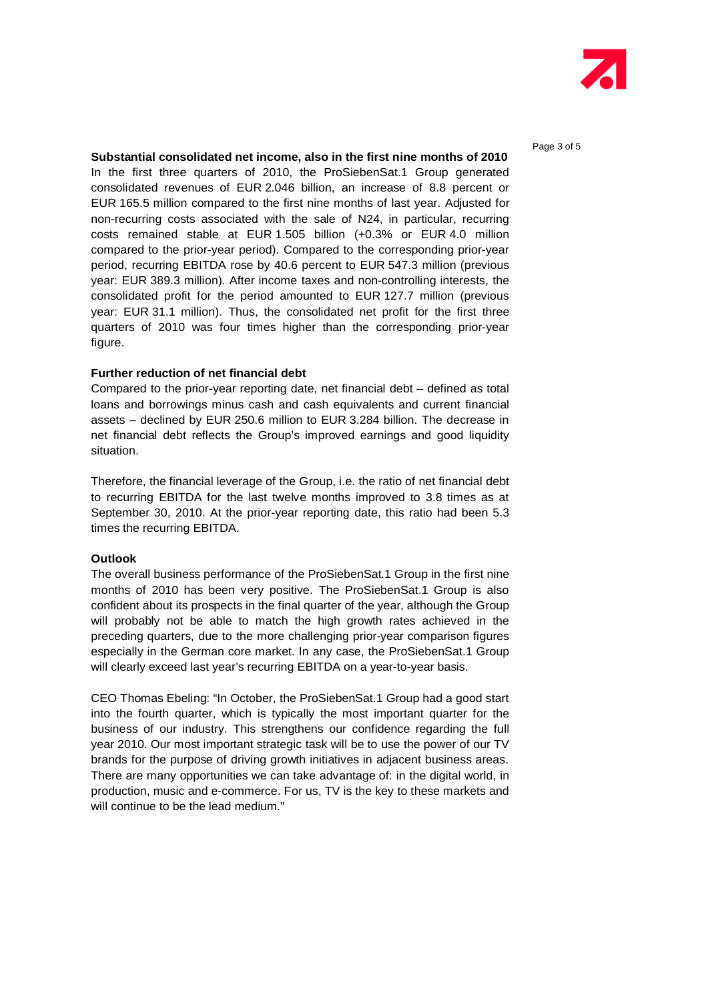

#### **Substantial consolidated net income, also in the first nine months of 2010**

In the first three quarters of 2010, the ProSiebenSat.1 Group generated consolidated revenues of EUR 2.046 billion, an increase of 8.8 percent or EUR 165.5 million compared to the first nine months of last year. Adjusted for non-recurring costs associated with the sale of N24, in particular, recurring costs remained stable at EUR 1.505 billion (+0.3% or EUR 4.0 million compared to the prior-year period). Compared to the corresponding prior-year period, recurring EBITDA rose by 40.6 percent to EUR 547.3 million (previous year: EUR 389.3 million). After income taxes and non-controlling interests, the consolidated profit for the period amounted to EUR 127.7 million (previous year: EUR 31.1 million). Thus, the consolidated net profit for the first three quarters of 2010 was four times higher than the corresponding prior-year figure.

#### **Further reduction of net financial debt**

Compared to the prior-year reporting date, net financial debt  $-$  defined as total loans and borrowings minus cash and cash equivalents and current financial assets – declined by EUR 250.6 million to EUR 3.284 billion. The decrease in net financial debt reflects the Group's improved earnings and good liquidity situation.

Therefore, the financial leverage of the Group, i.e. the ratio of net financial debt to recurring EBITDA for the last twelve months improved to 3.8 times as at September 30, 2010. At the prior-year reporting date, this ratio had been 5.3 times the recurring EBITDA.

#### **Outlook**

The overall business performance of the ProSiebenSat.1 Group in the first nine months of 2010 has been very positive. The ProSiebenSat.1 Group is also confident about its prospects in the final quarter of the year, although the Group will probably not be able to match the high growth rates achieved in the preceding quarters, due to the more challenging prior-year comparison figures especially in the German core market. In any case, the ProSiebenSat.1 Group will clearly exceed last year's recurring EBITDA on a year-to-year basis.

CEO Thomas Ebeling: "In October, the ProSiebenSat.1 Group had a good start into the fourth quarter, which is typically the most important quarter for the business of our industry. This strengthens our confidence regarding the full year 2010. Our most important strategic task will be to use the power of our TV brands for the purpose of driving growth initiatives in adjacent business areas. There are many opportunities we can take advantage of: in the digital world, in production, music and e-commerce. For us, TV is the key to these markets and will continue to be the lead medium."

Page 3 of 5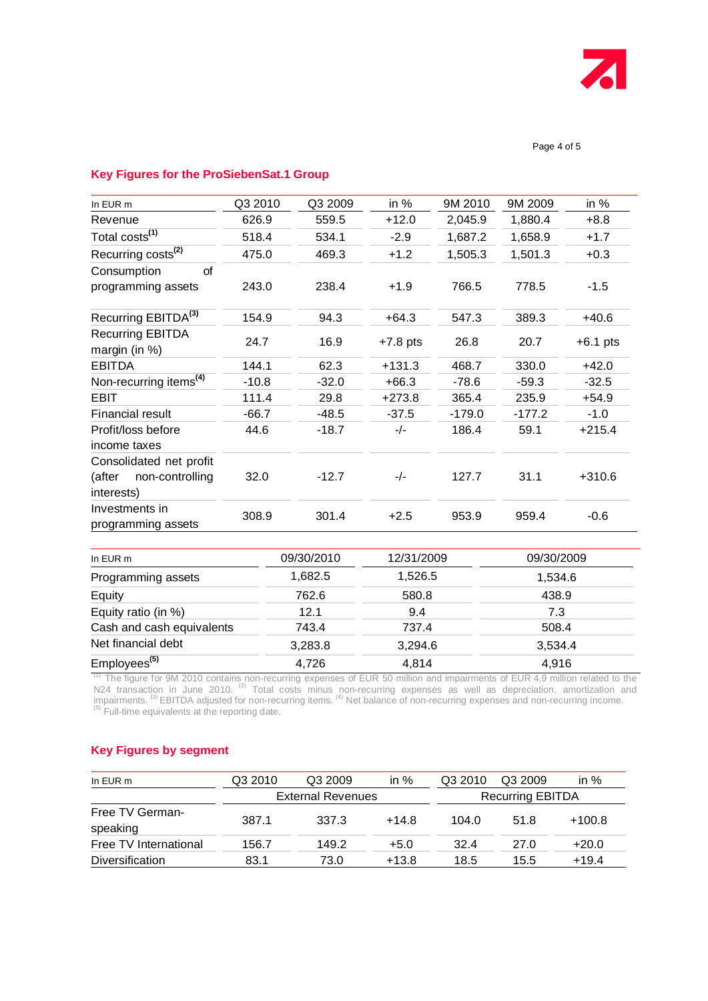

### **Key Figures for the ProSiebenSat.1 Group**

| In EUR m                                                           | Q3 2010 | Q3 2009 | in %       | 9M 2010  | 9M 2009  | in %       |
|--------------------------------------------------------------------|---------|---------|------------|----------|----------|------------|
| Revenue                                                            | 626.9   | 559.5   | $+12.0$    | 2,045.9  | 1,880.4  | $+8.8$     |
| Total costs <sup>(1)</sup>                                         | 518.4   | 534.1   | $-2.9$     | 1,687.2  | 1,658.9  | $+1.7$     |
| Recurring costs <sup>(2)</sup>                                     | 475.0   | 469.3   | $+1.2$     | 1,505.3  | 1,501.3  | $+0.3$     |
| Consumption<br>οf                                                  |         |         |            |          |          |            |
| programming assets                                                 | 243.0   | 238.4   | $+1.9$     | 766.5    | 778.5    | $-1.5$     |
| Recurring EBITDA <sup>(3)</sup>                                    | 154.9   | 94.3    | $+64.3$    | 547.3    | 389.3    | $+40.6$    |
| <b>Recurring EBITDA</b><br>margin (in %)                           | 24.7    | 16.9    | $+7.8$ pts | 26.8     | 20.7     | $+6.1$ pts |
| <b>EBITDA</b>                                                      | 144.1   | 62.3    | $+131.3$   | 468.7    | 330.0    | $+42.0$    |
| Non-recurring items <sup>(4)</sup>                                 | $-10.8$ | $-32.0$ | $+66.3$    | $-78.6$  | $-59.3$  | $-32.5$    |
| EBIT                                                               | 111.4   | 29.8    | $+273.8$   | 365.4    | 235.9    | $+54.9$    |
| Financial result                                                   | $-66.7$ | $-48.5$ | $-37.5$    | $-179.0$ | $-177.2$ | $-1.0$     |
| Profit/loss before<br>income taxes                                 | 44.6    | $-18.7$ | $-/-$      | 186.4    | 59.1     | $+215.4$   |
| Consolidated net profit<br>(after<br>non-controlling<br>interests) | 32.0    | $-12.7$ | $-/-$      | 127.7    | 31.1     | $+310.6$   |
| Investments in<br>programming assets                               | 308.9   | 301.4   | $+2.5$     | 953.9    | 959.4    | $-0.6$     |

| In EUR $m$                | 09/30/2010 | 12/31/2009 | 09/30/2009 |
|---------------------------|------------|------------|------------|
| Programming assets        | 1,682.5    | 1,526.5    | 1,534.6    |
| Equity                    | 762.6      | 580.8      | 438.9      |
| Equity ratio (in %)       | 12.1       | 9.4        | 7.3        |
| Cash and cash equivalents | 743.4      | 737.4      | 508.4      |
| Net financial debt        | 3,283.8    | 3,294.6    | 3,534.4    |
| Employees <sup>(5)</sup>  | 4,726      | 4,814      | 4.916      |

 $<sup>(1)</sup>$  The figure for 9M 2010 contains non-recurring expenses of EUR 50 million and impairments of EUR 4.9 million related to the</sup> N24 transaction in June 2010. <sup>(2)</sup> Total costs minus non-recurring expenses as well as depreciation, amortization and impairments. <sup>(3)</sup> EBITDA adjusted for non-recurring items. <sup>(4)</sup> Net balance of non-recurring expenses and non-recurring income.  $<sup>(5)</sup>$  Full-time equivalents at the reporting date.</sup>

# **Key Figures by segment**

| In EUR m                    | Q3 2010                  | Q3 2009 | in $%$  | Q3 2010                 | Q3 2009 | in $%$   |
|-----------------------------|--------------------------|---------|---------|-------------------------|---------|----------|
|                             | <b>External Revenues</b> |         |         | <b>Recurring EBITDA</b> |         |          |
| Free TV German-<br>speaking | 387.1                    | 337.3   | $+14.8$ | 104.0                   | 51.8    | $+100.8$ |
| Free TV International       | 156.7                    | 149.2   | $+5.0$  | 32.4                    | 27.0    | $+20.0$  |
| <b>Diversification</b>      | 83.1                     | 73.0    | $+13.8$ | 18.5                    | 15.5    | $+19.4$  |